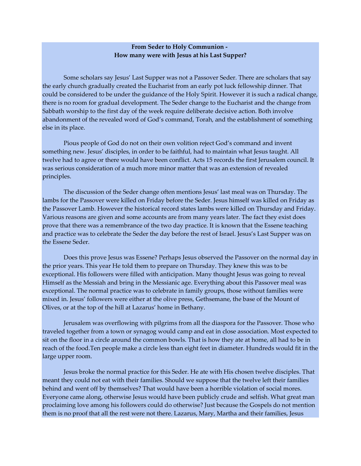## From Seder to Holy Communion - How many were with Jesus at his Last Supper?

 Some scholars say Jesus' Last Supper was not a Passover Seder. There are scholars that say the early church gradually created the Eucharist from an early pot luck fellowship dinner. That could be considered to be under the guidance of the Holy Spirit. However it is such a radical change, there is no room for gradual development. The Seder change to the Eucharist and the change from Sabbath worship to the first day of the week require deliberate decisive action. Both involve abandonment of the revealed word of God's command, Torah, and the establishment of something else in its place.

 Pious people of God do not on their own volition reject God's command and invent something new. Jesus' disciples, in order to be faithful, had to maintain what Jesus taught. All twelve had to agree or there would have been conflict. Acts 15 records the first Jerusalem council. It was serious consideration of a much more minor matter that was an extension of revealed principles.

 The discussion of the Seder change often mentions Jesus' last meal was on Thursday. The lambs for the Passover were killed on Friday before the Seder. Jesus himself was killed on Friday as the Passover Lamb. However the historical record states lambs were killed on Thursday and Friday. Various reasons are given and some accounts are from many years later. The fact they exist does prove that there was a remembrance of the two day practice. It is known that the Essene teaching and practice was to celebrate the Seder the day before the rest of Israel. Jesus's Last Supper was on the Essene Seder.

 Does this prove Jesus was Essene? Perhaps Jesus observed the Passover on the normal day in the prior years. This year He told them to prepare on Thursday. They knew this was to be exceptional. His followers were filled with anticipation. Many thought Jesus was going to reveal Himself as the Messiah and bring in the Messianic age. Everything about this Passover meal was exceptional. The normal practice was to celebrate in family groups, those without families were mixed in. Jesus' followers were either at the olive press, Gethsemane, the base of the Mount of Olives, or at the top of the hill at Lazarus' home in Bethany.

 Jerusalem was overflowing with pilgrims from all the diaspora for the Passover. Those who traveled together from a town or synagog would camp and eat in close association. Most expected to sit on the floor in a circle around the common bowls. That is how they ate at home, all had to be in reach of the food.Ten people make a circle less than eight feet in diameter. Hundreds would fit in the large upper room.

 Jesus broke the normal practice for this Seder. He ate with His chosen twelve disciples. That meant they could not eat with their families. Should we suppose that the twelve left their families behind and went off by themselves? That would have been a horrible violation of social mores. Everyone came along, otherwise Jesus would have been publicly crude and selfish. What great man proclaiming love among his followers could do otherwise? Just because the Gospels do not mention them is no proof that all the rest were not there. Lazarus, Mary, Martha and their families, Jesus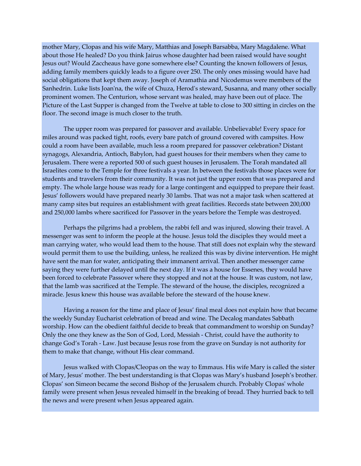mother Mary, Clopas and his wife Mary, Matthias and Joseph Barsabba, Mary Magdalene. What about those He healed? Do you think Jairus whose daughter had been raised would have sought Jesus out? Would Zaccheaus have gone somewhere else? Counting the known followers of Jesus, adding family members quickly leads to a figure over 250. The only ones missing would have had social obligations that kept them away. Joseph of Aramathia and Nicodemus were members of the Sanhedrin. Luke lists Joan'na, the wife of Chuza, Herod's steward, Susanna, and many other socially prominent women. The Centurion, whose servant was healed, may have been out of place. The Picture of the Last Supper is changed from the Twelve at table to close to 300 sitting in circles on the floor. The second image is much closer to the truth.

 The upper room was prepared for passover and available. Unbelievable! Every space for miles around was packed tight, roofs, every bare patch of ground covered with campsites. How could a room have been available, much less a room prepared for passover celebration? Distant synagogs, Alexandria, Antioch, Babylon, had guest houses for their members when they came to Jerusalem. There were a reported 500 of such guest houses in Jerusalem. The Torah mandated all Israelites come to the Temple for three festivals a year. In between the festivals those places were for students and travelers from their community. It was not just the upper room that was prepared and empty. The whole large house was ready for a large contingent and equipped to prepare their feast. Jesus' followers would have prepared nearly 30 lambs. That was not a major task when scattered at many camp sites but requires an establishment with great facilities. Records state between 200,000 and 250,000 lambs where sacrificed for Passover in the years before the Temple was destroyed.

 Perhaps the pilgrims had a problem, the rabbi fell and was injured, slowing their travel. A messenger was sent to inform the people at the house. Jesus told the disciples they would meet a man carrying water, who would lead them to the house. That still does not explain why the steward would permit them to use the building, unless, he realized this was by divine intervention. He might have sent the man for water, anticipating their immanent arrival. Then another messenger came saying they were further delayed until the next day. If it was a house for Essenes, they would have been forced to celebrate Passover where they stopped and not at the house. It was custom, not law, that the lamb was sacrificed at the Temple. The steward of the house, the disciples, recognized a miracle. Jesus knew this house was available before the steward of the house knew.

 Having a reason for the time and place of Jesus' final meal does not explain how that became the weekly Sunday Eucharist celebration of bread and wine. The Decalog mandates Sabbath worship. How can the obedient faithful decide to break that commandment to worship on Sunday? Only the one they knew as the Son of God, Lord, Messiah - Christ, could have the authority to change God's Torah - Law. Just because Jesus rose from the grave on Sunday is not authority for them to make that change, without His clear command.

 Jesus walked with Clopas/Cleopas on the way to Emmaus. His wife Mary is called the sister of Mary, Jesus' mother. The best understanding is that Clopas was Mary's husband Joseph's brother. Clopas' son Simeon became the second Bishop of the Jerusalem church. Probably Clopas' whole family were present when Jesus revealed himself in the breaking of bread. They hurried back to tell the news and were present when Jesus appeared again.